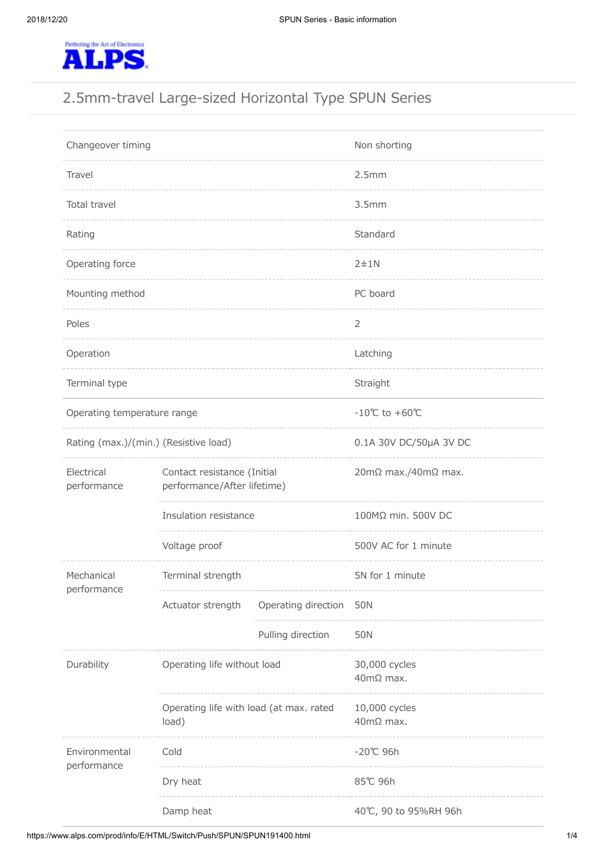

# 2.5mm-travel Large-sized Horizontal Type SPUN Series

| Changeover timing                     |                                                            |                     | Non shorting                          |
|---------------------------------------|------------------------------------------------------------|---------------------|---------------------------------------|
| Travel                                |                                                            |                     | 2.5mm                                 |
| Total travel                          |                                                            |                     | 3.5mm                                 |
| Rating                                |                                                            |                     | Standard                              |
| Operating force                       |                                                            |                     | $2 + 1N$                              |
| Mounting method                       |                                                            |                     | PC board                              |
| Poles                                 |                                                            |                     | 2                                     |
| Operation                             |                                                            |                     | Latching                              |
| Terminal type                         |                                                            |                     | Straight                              |
| Operating temperature range           |                                                            |                     | $-10^{\circ}$ C to $+60^{\circ}$ C    |
| Rating (max.)/(min.) (Resistive load) |                                                            |                     | 0.1A 30V DC/50µA 3V DC                |
| Electrical<br>performance             | Contact resistance (Initial<br>performance/After lifetime) |                     | $20 \text{m}\Omega$ max./40m $Ω$ max. |
|                                       | Insulation resistance                                      |                     | 100MΩ min. 500V DC                    |
|                                       | Voltage proof                                              |                     | 500V AC for 1 minute                  |
| Mechanical<br>performance             | Terminal strength                                          |                     | 5N for 1 minute                       |
|                                       | Actuator strength                                          | Operating direction | 50N                                   |
|                                       |                                                            | Pulling direction   | 50N                                   |
| Durability                            | Operating life without load                                |                     | 30,000 cycles<br>40mΩ max.            |
|                                       | Operating life with load (at max. rated<br>load)           |                     | 10,000 cycles<br>$40mΩ$ max.          |
| Environmental<br>performance          | Cold                                                       |                     | -20℃ 96h                              |
|                                       | Dry heat                                                   |                     | 85℃ 96h                               |
|                                       | Damp heat                                                  |                     | 40℃, 90 to 95%RH 96h                  |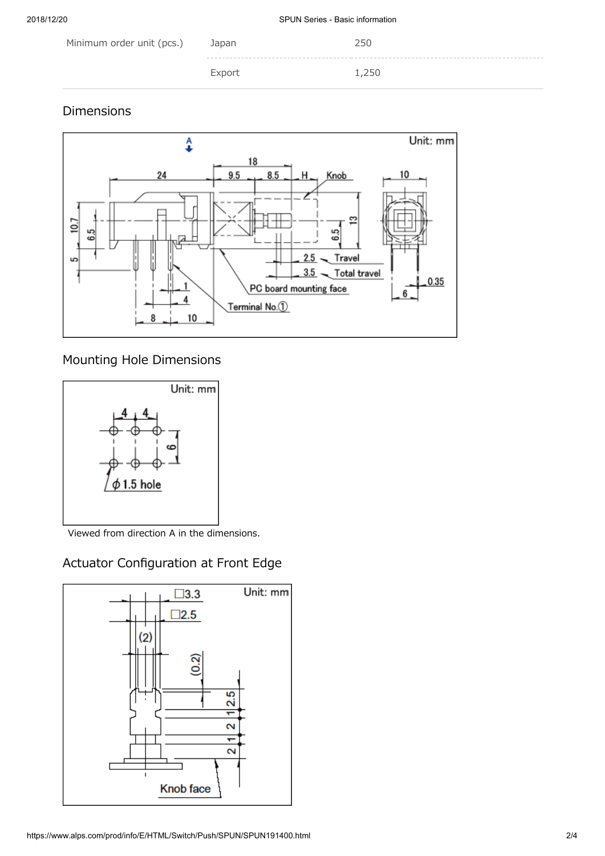| Minimum order unit (pcs.) | Japan  | 250   |
|---------------------------|--------|-------|
|                           | Export | 1,250 |

## Dimensions



## Mounting Hole Dimensions



Viewed from direction A in the dimensions.

## Actuator Configuration at Front Edge

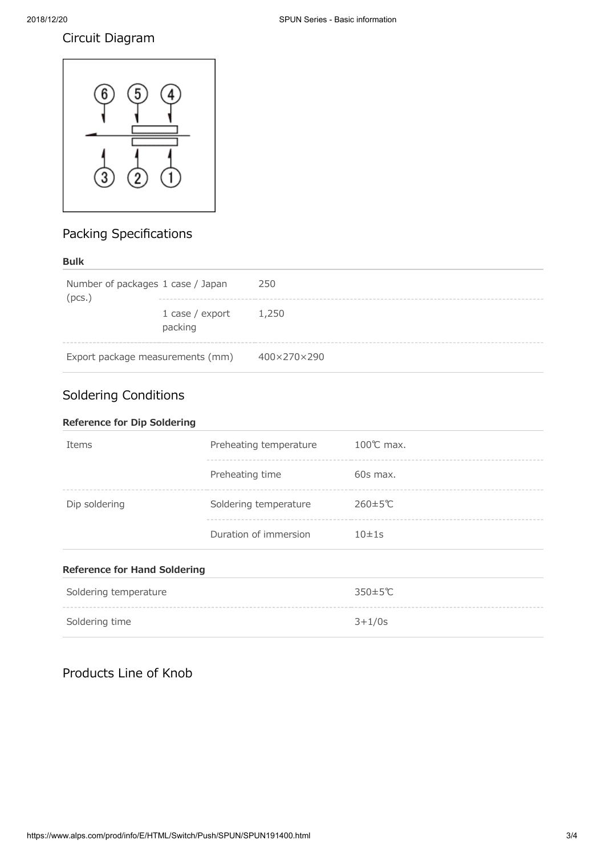### Circuit Diagram



## Packing Specifications

#### **Bulk**

| Number of packages 1 case / Japan<br>(pcs.) |                                  | 250         |
|---------------------------------------------|----------------------------------|-------------|
|                                             | 1 case $/$ export<br>packing     | 1,250       |
|                                             | Export package measurements (mm) | 400×270×290 |

## Soldering Conditions

| <b>Reference for Dip Soldering</b>  |                        |                       |
|-------------------------------------|------------------------|-----------------------|
| Items                               | Preheating temperature | $100^{\circ}$ C max.  |
|                                     | Preheating time        | $60s$ max.            |
| Dip soldering                       | Soldering temperature  | $260 \pm 5^{\circ}$ C |
|                                     | Duration of immersion  | 10±1s                 |
| <b>Reference for Hand Soldering</b> |                        |                       |
| Soldering temperature               |                        | $350 \pm 5^{\circ}$ C |

| <b>SUIDELING CONFIDENTIAL</b> | ししエリし    |
|-------------------------------|----------|
|                               |          |
| Soldering time                | $3+1/0s$ |

## Products Line of Knob